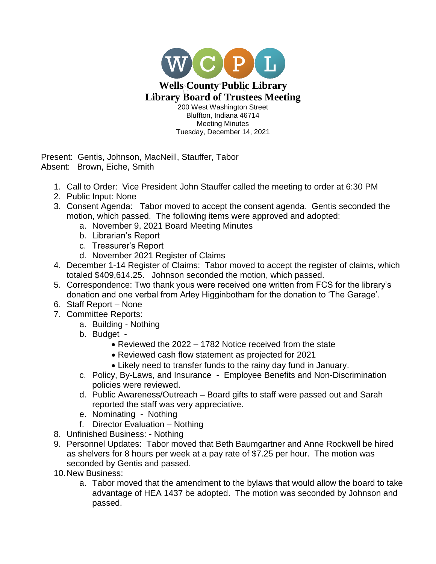

Bluffton, Indiana 46714 Meeting Minutes Tuesday, December 14, 2021

Present: Gentis, Johnson, MacNeill, Stauffer, Tabor Absent: Brown, Eiche, Smith

- 1. Call to Order: Vice President John Stauffer called the meeting to order at 6:30 PM
- 2. Public Input: None
- 3. Consent Agenda: Tabor moved to accept the consent agenda. Gentis seconded the motion, which passed. The following items were approved and adopted:
	- a. November 9, 2021 Board Meeting Minutes
	- b. Librarian's Report
	- c. Treasurer's Report
	- d. November 2021 Register of Claims
- 4. December 1-14 Register of Claims: Tabor moved to accept the register of claims, which totaled \$409,614.25. Johnson seconded the motion, which passed.
- 5. Correspondence: Two thank yous were received one written from FCS for the library's donation and one verbal from Arley Higginbotham for the donation to 'The Garage'.
- 6. Staff Report None
- 7. Committee Reports:
	- a. Building Nothing
	- b. Budget
		- Reviewed the 2022 1782 Notice received from the state
		- Reviewed cash flow statement as projected for 2021
		- Likely need to transfer funds to the rainy day fund in January.
	- c. Policy, By-Laws, and Insurance Employee Benefits and Non-Discrimination policies were reviewed.
	- d. Public Awareness/Outreach Board gifts to staff were passed out and Sarah reported the staff was very appreciative.
	- e. Nominating Nothing
	- f. Director Evaluation Nothing
- 8. Unfinished Business: Nothing
- 9. Personnel Updates: Tabor moved that Beth Baumgartner and Anne Rockwell be hired as shelvers for 8 hours per week at a pay rate of \$7.25 per hour. The motion was seconded by Gentis and passed.
- 10.New Business:
	- a. Tabor moved that the amendment to the bylaws that would allow the board to take advantage of HEA 1437 be adopted. The motion was seconded by Johnson and passed.